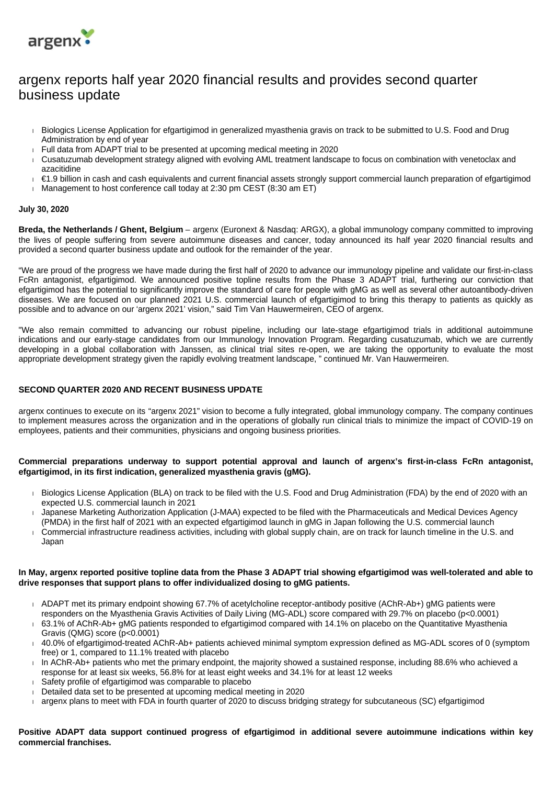

# argenx reports half year 2020 financial results and provides second quarter business update

- Biologics License Application for efgartigimod in generalized myasthenia gravis on track to be submitted to U.S. Food and Drug Administration by end of year
- $\overline{F}$  Full data from ADAPT trial to be presented at upcoming medical meeting in 2020
- Cusatuzumab development strategy aligned with evolving AML treatment landscape to focus on combination with venetoclax and azacitidine
- €1.9 billion in cash and cash equivalents and current financial assets strongly support commercial launch preparation of efgartigimod
- Management to host conference call today at 2:30 pm CEST  $(8:30 \text{ am ET})$

#### **July 30, 2020**

**Breda, the Netherlands / Ghent, Belgium** – argenx (Euronext & Nasdaq: ARGX), a global immunology company committed to improving the lives of people suffering from severe autoimmune diseases and cancer, today announced its half year 2020 financial results and provided a second quarter business update and outlook for the remainder of the year.

"We are proud of the progress we have made during the first half of 2020 to advance our immunology pipeline and validate our first-in-class FcRn antagonist, efgartigimod. We announced positive topline results from the Phase 3 ADAPT trial, furthering our conviction that efgartigimod has the potential to significantly improve the standard of care for people with gMG as well as several other autoantibody-driven diseases. We are focused on our planned 2021 U.S. commercial launch of efgartigimod to bring this therapy to patients as quickly as possible and to advance on our 'argenx 2021' vision," said Tim Van Hauwermeiren, CEO of argenx.

"We also remain committed to advancing our robust pipeline, including our late-stage efgartigimod trials in additional autoimmune indications and our early-stage candidates from our Immunology Innovation Program. Regarding cusatuzumab, which we are currently developing in a global collaboration with Janssen, as clinical trial sites re-open, we are taking the opportunity to evaluate the most appropriate development strategy given the rapidly evolving treatment landscape, " continued Mr. Van Hauwermeiren.

# **SECOND QUARTER 2020 AND RECENT BUSINESS UPDATE**

argenx continues to execute on its "argenx 2021" vision to become a fully integrated, global immunology company. The company continues to implement measures across the organization and in the operations of globally run clinical trials to minimize the impact of COVID-19 on employees, patients and their communities, physicians and ongoing business priorities.

#### **Commercial preparations underway to support potential approval and launch of argenx's first-in-class FcRn antagonist, efgartigimod, in its first indication, generalized myasthenia gravis (gMG).**

- Biologics License Application (BLA) on track to be filed with the U.S. Food and Drug Administration (FDA) by the end of 2020 with an expected U.S. commercial launch in 2021
- Japanese Marketing Authorization Application (J-MAA) expected to be filed with the Pharmaceuticals and Medical Devices Agency (PMDA) in the first half of 2021 with an expected efgartigimod launch in gMG in Japan following the U.S. commercial launch
- Commercial infrastructure readiness activities, including with global supply chain, are on track for launch timeline in the U.S. and Japan

#### **In May, argenx reported positive topline data from the Phase 3 ADAPT trial showing efgartigimod was well-tolerated and able to drive responses that support plans to offer individualized dosing to gMG patients.**

- ADAPT met its primary endpoint showing 67.7% of acetylcholine receptor-antibody positive (AChR-Ab+) gMG patients were responders on the Myasthenia Gravis Activities of Daily Living (MG-ADL) score compared with 29.7% on placebo (p<0.0001)
- 63.1% of AChR-Ab+ gMG patients responded to efgartigimod compared with 14.1% on placebo on the Quantitative Myasthenia Gravis (QMG) score (p<0.0001)
- 40.0% of efgartigimod-treated AChR-Ab+ patients achieved minimal symptom expression defined as MG-ADL scores of 0 (symptom free) or 1, compared to 11.1% treated with placebo
- In AChR-Ab+ patients who met the primary endpoint, the majority showed a sustained response, including 88.6% who achieved a response for at least six weeks, 56.8% for at least eight weeks and 34.1% for at least 12 weeks
- Safety profile of efgartigimod was comparable to placebo
- Detailed data set to be presented at upcoming medical meeting in 2020
- argenx plans to meet with FDA in fourth quarter of 2020 to discuss bridging strategy for subcutaneous (SC) efgartigimod

**Positive ADAPT data support continued progress of efgartigimod in additional severe autoimmune indications within key commercial franchises.**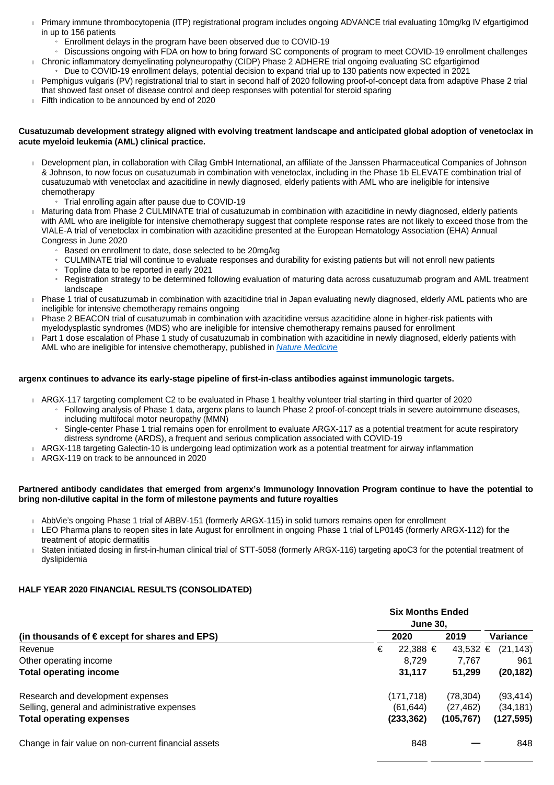- Primary immune thrombocytopenia (ITP) registrational program includes ongoing ADVANCE trial evaluating 10mg/kg IV efgartigimod in up to 156 patients
	- » Enrollment delays in the program have been observed due to COVID-19
	- » Discussions ongoing with FDA on how to bring forward SC components of program to meet COVID-19 enrollment challenges Chronic inflammatory demyelinating polyneuropathy (CIDP) Phase 2 ADHERE trial ongoing evaluating SC efgartigimod
	- » Due to COVID-19 enrollment delays, potential decision to expand trial up to 130 patients now expected in 2021
- Pemphigus vulgaris (PV) registrational trial to start in second half of 2020 following proof-of-concept data from adaptive Phase 2 trial that showed fast onset of disease control and deep responses with potential for steroid sparing
- Fifth indication to be announced by end of 2020

# **Cusatuzumab development strategy aligned with evolving treatment landscape and anticipated global adoption of venetoclax in acute myeloid leukemia (AML) clinical practice.**

- Development plan, in collaboration with Cilag GmbH International, an affiliate of the Janssen Pharmaceutical Companies of Johnson & Johnson, to now focus on cusatuzumab in combination with venetoclax, including in the Phase 1b ELEVATE combination trial of cusatuzumab with venetoclax and azacitidine in newly diagnosed, elderly patients with AML who are ineligible for intensive chemotherapy
	- » Trial enrolling again after pause due to COVID-19
- Maturing data from Phase 2 CULMINATE trial of cusatuzumab in combination with azacitidine in newly diagnosed, elderly patients with AML who are ineligible for intensive chemotherapy suggest that complete response rates are not likely to exceed those from the VIALE-A trial of venetoclax in combination with azacitidine presented at the European Hematology Association (EHA) Annual Congress in June 2020
	- » Based on enrollment to date, dose selected to be 20mg/kg
	- » CULMINATE trial will continue to evaluate responses and durability for existing patients but will not enroll new patients
	- » Topline data to be reported in early 2021
	- » Registration strategy to be determined following evaluation of maturing data across cusatuzumab program and AML treatment landscape
- Phase 1 trial of cusatuzumab in combination with azacitidine trial in Japan evaluating newly diagnosed, elderly AML patients who are ineligible for intensive chemotherapy remains ongoing
- Phase 2 BEACON trial of cusatuzumab in combination with azacitidine versus azacitidine alone in higher-risk patients with
- myelodysplastic syndromes (MDS) who are ineligible for intensive chemotherapy remains paused for enrollment Part 1 dose escalation of Phase 1 study of cusatuzumab in combination with azacitidine in newly diagnosed, elderly patients with
- AML who are ineligible for intensive chemotherapy, published in [Nature Medicine](https://www.nature.com/articles/s41591-020-0910-8)

#### **argenx continues to advance its early-stage pipeline of first-in-class antibodies against immunologic targets.**

- ARGX-117 targeting complement C2 to be evaluated in Phase 1 healthy volunteer trial starting in third quarter of 2020
	- » Following analysis of Phase 1 data, argenx plans to launch Phase 2 proof-of-concept trials in severe autoimmune diseases, including multifocal motor neuropathy (MMN)
	- » Single-center Phase 1 trial remains open for enrollment to evaluate ARGX-117 as a potential treatment for acute respiratory distress syndrome (ARDS), a frequent and serious complication associated with COVID-19
	-
- ARGX-118 targeting Galectin-10 is undergoing lead optimization work as a potential treatment for airway inflammation
- ARGX-119 on track to be announced in 2020

# **Partnered antibody candidates that emerged from argenx's Immunology Innovation Program continue to have the potential to bring non-dilutive capital in the form of milestone payments and future royalties**

- AbbVie's ongoing Phase 1 trial of ABBV-151 (formerly ARGX-115) in solid tumors remains open for enrollment
- LEO Pharma plans to reopen sites in late August for enrollment in ongoing Phase 1 trial of LP0145 (formerly ARGX-112) for the treatment of atopic dermatitis
- Staten initiated dosing in first-in-human clinical trial of STT-5058 (formerly ARGX-116) targeting apoC3 for the potential treatment of dyslipidemia

# **HALF YEAR 2020 FINANCIAL RESULTS (CONSOLIDATED)**

| (in thousands of $\in$ except for shares and EPS)    | <b>Six Months Ended</b><br><b>June 30.</b> |            |                |
|------------------------------------------------------|--------------------------------------------|------------|----------------|
|                                                      | 2020                                       | 2019       | Variance       |
| Revenue                                              | €<br>22.388 €                              | 43,532     | (21, 143)<br>€ |
| Other operating income                               | 8.729                                      | 7.767      | 961            |
| <b>Total operating income</b>                        | 31.117                                     | 51.299     | (20, 182)      |
| Research and development expenses                    | (171,718)                                  | (78, 304)  | (93, 414)      |
| Selling, general and administrative expenses         | (61, 644)                                  | (27, 462)  | (34, 181)      |
| <b>Total operating expenses</b>                      | (233, 362)                                 | (105, 767) | (127, 595)     |
| Change in fair value on non-current financial assets | 848                                        |            | 848            |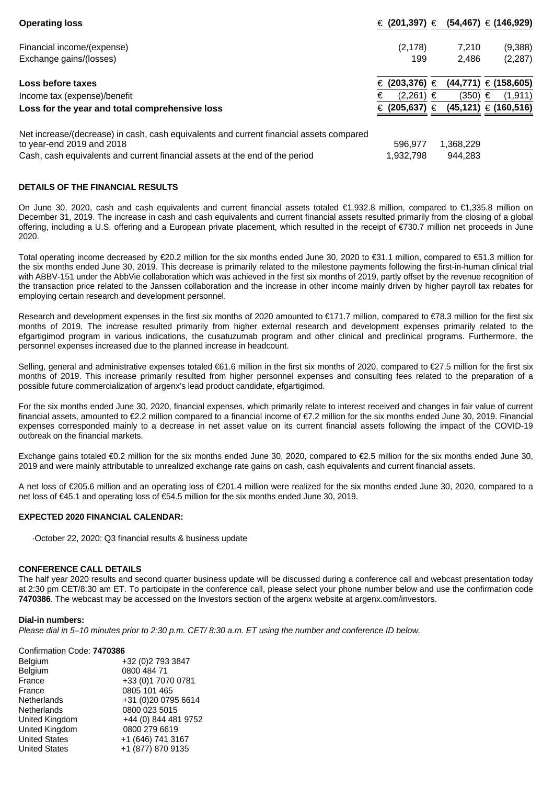| <b>Operating loss</b>                                                                   | € (201,397) € (54,467) € (146,929) |           |                            |
|-----------------------------------------------------------------------------------------|------------------------------------|-----------|----------------------------|
| Financial income/(expense)                                                              | (2, 178)                           | 7,210     | (9,388)                    |
| Exchange gains/(losses)                                                                 | 199                                | 2,486     | (2,287)                    |
| Loss before taxes                                                                       | € (203,376) $∈$                    |           | $(44,771) \in (158,605)$   |
| Income tax (expense)/benefit                                                            | $(2,261) \in$<br>€                 | (350)     | (1, 911)<br>€              |
| Loss for the year and total comprehensive loss                                          | € (205,637)                        | €         | $(45, 121) \in (160, 516)$ |
| Net increase/(decrease) in cash, cash equivalents and current financial assets compared |                                    |           |                            |
| to year-end 2019 and 2018                                                               | 596.977                            | 1,368,229 |                            |
| Cash, cash equivalents and current financial assets at the end of the period            | 1,932,798                          | 944.283   |                            |

# **DETAILS OF THE FINANCIAL RESULTS**

On June 30, 2020, cash and cash equivalents and current financial assets totaled €1,932.8 million, compared to €1,335.8 million on December 31, 2019. The increase in cash and cash equivalents and current financial assets resulted primarily from the closing of a global offering, including a U.S. offering and a European private placement, which resulted in the receipt of €730.7 million net proceeds in June 2020.

Total operating income decreased by €20.2 million for the six months ended June 30, 2020 to €31.1 million, compared to €51.3 million for the six months ended June 30, 2019. This decrease is primarily related to the milestone payments following the first-in-human clinical trial with ABBV-151 under the AbbVie collaboration which was achieved in the first six months of 2019, partly offset by the revenue recognition of the transaction price related to the Janssen collaboration and the increase in other income mainly driven by higher payroll tax rebates for employing certain research and development personnel.

Research and development expenses in the first six months of 2020 amounted to €171.7 million, compared to €78.3 million for the first six months of 2019. The increase resulted primarily from higher external research and development expenses primarily related to the efgartigimod program in various indications, the cusatuzumab program and other clinical and preclinical programs. Furthermore, the personnel expenses increased due to the planned increase in headcount.

Selling, general and administrative expenses totaled €61.6 million in the first six months of 2020, compared to €27.5 million for the first six months of 2019. This increase primarily resulted from higher personnel expenses and consulting fees related to the preparation of a possible future commercialization of argenx's lead product candidate, efgartigimod.

For the six months ended June 30, 2020, financial expenses, which primarily relate to interest received and changes in fair value of current financial assets, amounted to €2.2 million compared to a financial income of €7.2 million for the six months ended June 30, 2019. Financial expenses corresponded mainly to a decrease in net asset value on its current financial assets following the impact of the COVID-19 outbreak on the financial markets.

Exchange gains totaled €0.2 million for the six months ended June 30, 2020, compared to €2.5 million for the six months ended June 30, 2019 and were mainly attributable to unrealized exchange rate gains on cash, cash equivalents and current financial assets.

A net loss of €205.6 million and an operating loss of €201.4 million were realized for the six months ended June 30, 2020, compared to a net loss of €45.1 and operating loss of €54.5 million for the six months ended June 30, 2019.

# **EXPECTED 2020 FINANCIAL CALENDAR:**

·October 22, 2020: Q3 financial results & business update

#### **CONFERENCE CALL DETAILS**

The half year 2020 results and second quarter business update will be discussed during a conference call and webcast presentation today at 2:30 pm CET/8:30 am ET. To participate in the conference call, please select your phone number below and use the confirmation code **7470386**. The webcast may be accessed on the Investors section of the argenx website at argenx.com/investors.

#### **Dial-in numbers:**

Please dial in 5–10 minutes prior to 2:30 p.m. CET/ 8:30 a.m. ET using the number and conference ID below.

#### Confirmation Code: **7470386**

| Belgium              | +32 (0)2 793 3847    |
|----------------------|----------------------|
| Belgium              | 0800 484 71          |
| France               | +33 (0)1 7070 0781   |
| France               | 0805 101 465         |
| Netherlands          | +31 (0)20 0795 6614  |
| Netherlands          | 0800 023 5015        |
| United Kingdom       | +44 (0) 844 481 9752 |
| United Kingdom       | 0800 279 6619        |
| <b>United States</b> | +1 (646) 741 3167    |
| <b>United States</b> | +1 (877) 870 9135    |